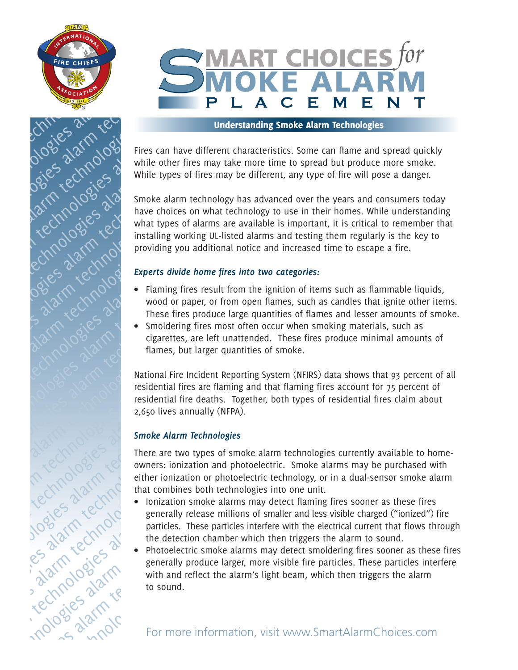



## Understanding Smoke Alarm Technologies

Fires can have different characteristics. Some can flame and spread quickly while other fires may take more time to spread but produce more smoke. While types of fires may be different, any type of fire will pose a danger.

Smoke alarm technology has advanced over the years and consumers today have choices on what technology to use in their homes. While understanding what types of alarms are available is important, it is critical to remember that installing working UL-listed alarms and testing them regularly is the key to providing you additional notice and increased time to escape a fire. alarm technologies alarm technologies and the streets diversified and the streets diversified and the streets diversified and the streets diversified and the streets diversified and the streets diversified and the streets the Sales alarm while types and the contract of the CNN contract of the CNN contract of the CNN contract of the CNN contract of the CNN contract of the CNN contract of the CNN contract of the CNN contract of the CNN contra nologies alarm technologies alarm technologies alarm technologies alarm technologies and the strengthend the strengthend the strengthend the strengthend the strengthend the strengthend the strengthend technologies and the strengthend the strengthend technologies and the strengthend the s technologies alarm technologies and the set of the set of the set of the set of the set of the set of the set of the set of the set of the set of the set of the set of the set of the set of the set of the set of the set of orienties alarm technologies<br>  $\frac{1}{2}$  and  $\frac{1}{2}$  and  $\frac{1}{2}$  and  $\frac{1}{2}$  and  $\frac{1}{2}$  and  $\frac{1}{2}$  and  $\frac{1}{2}$  and  $\frac{1}{2}$  and  $\frac{1}{2}$  and  $\frac{1}{2}$  and  $\frac{1}{2}$  and  $\frac{1}{2}$  and  $\frac{1}{2}$  and  $\frac{1}{2}$ alarm technologies alarm technologies and the contract of the contract of the contract of the contract of the contract of the contract of the contract of the contract of the contract of the contract of the contract of the

## *Experts divide home fires into two categories:*

- Flaming fires result from the ignition of items such as flammable liquids, wood or paper, or from open flames, such as candles that ignite other items. These fires produce large quantities of flames and lesser amounts of smoke.
- Smoldering fires most often occur when smoking materials, such as cigarettes, are left unattended. These fires produce minimal amounts of flames, but larger quantities of smoke.

National Fire Incident Reporting System (NFIRS) data shows that 93 percent of all residential fires are flaming and that flaming fires account for 75 percent of residential fire deaths. Together, both types of residential fires claim about 2,650 lives annually (NFPA). EXERCISE ALARM TREAT ISLAM TREAT AND ON A STATE OF A SALE AND CONSIDER A SALE AND CONSIDER A SALE AND CONSIDER A SALE AND CONSIDER A SALE AND CONSIDER A SALE AND CONSIDER A SALE AND CONSIDER A SALE AND CONSIDER A SALE AND FORE CONTROLL CONTROLL CONTROLL CONTROLL CONTROLL CONTROLL CONTROLL CONTROLL CONTROLL CONTROLL CONTROLL CONTROLL CONTROLL CONTROLL CONTROLL CONTROLL CONTROLL CONTROLL CONTROLL CONTROLL CONTROLL CONTROLL CONTROLL CONTROLL alarm technologies alarm technologies alarm technologies alarm technologies alarm technologies alarm technologies alarm technologies alarm technologies alarm technologies alarm technologies alarm technologies alarm techno Example the state alarm fires included the state alarm technologies also the state alarm technologies alarm technologies alarm technologies alarm technologies alarm technologies alarm technologies alarm technologies alarm Northeynologies alarm technologies alarm technologies alarm technologies alarm technologies alarm technologies alarm technologies alarm technologies alarm technologies alarm technologies alarm technologies alarm technolog

## *Smoke Alarm Technologies*

There are two types of smoke alarm technologies currently available to homeowners: ionization and photoelectric. Smoke alarms may be purchased with either ionization or photoelectric technology, or in a dual-sensor smoke alarm that combines both technologies into one unit.

- Ionization smoke alarms may detect flaming fires sooner as these fires generally release millions of smaller and less visible charged ("ionized") fire particles. These particles interfere with the electrical current that flows through the detection chamber which then triggers the alarm to sound.
- Photoelectric smoke alarms may detect smoldering fires sooner as these fires generally produce larger, more visible fire particles. These particles interfere with and reflect the alarm's light beam, which then triggers the alarm to sound. alarm technologies alarm technologies alarm technologies alarm technologies alarm technologies alarm technologies alarm technologies alarm technologies alarm technologies alarm technologies alarm technologies alarm technol The Collection of Paper (Collection Collection Collection Collection Collection Collection Collection Collection Collection Collection Collection Collection Collection Collection Collection Collection Collection Collectio now of paper, or trom operations, and a cancel with a summer such a considering fires most often occur when smoking matering system (WIFR) data shows residential fire incidential fires are left unattened. National Fire in  $\frac{1}{200}$  casettes, are left unattended. These fires produce minimals, but larger quantities of smoke.<br>
National Fire incident Reporting System (WFIRS) data shows residential fires are flaming fires account residential technologies also the minimal fire incident Reporting System (NFIRS) data shows residential fire incident Reporting System (NFIRS) data shows residential fire deaths. Together, both types of residential to 2,650 lives annu France, but larger quantities of smoke.<br>
National Fire Incident Reporting System (NFIRS) data shows that 93 per<br>
residential fire deaths. Together, both types of residential fires account for 75 per<br>
residential fire deat Franchise Theorem is much that methodogies alarm technologies alarm technologies alarm technologies alarm technologies alarm technologies alarm technologies alarm technologies alarm technologies alarm technologies alarm t The method of the detection contract the data than the detection of the same technologies also that the data the change of the same technologies alarm technologies alarm technologies alarm technologies alarm technologies 2.650 lives annually (NPPA).<br>
Simoke Alarm Technologies<br>
There are two types of smoke alarm technologies currently available to howners: ionization and photoelectric. Smoke alarms may be purchased deliber ionization or ph